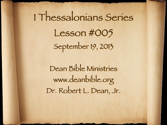# 1 Thessalonians Series Lesson #005 September 19, 2013

Dean Bible Ministries [www.deanbible.org](http://www.deanbible.org) [Dr. Robert L. Dean, Jr.](http://www.deanbible.org)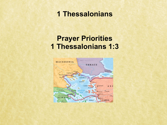# **1 Thessalonians**

# **Prayer Priorities 1 Thessalonians 1:3**

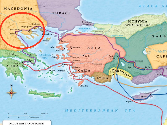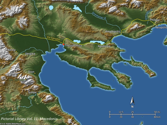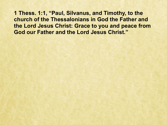**1 Thess. 1:1, "Paul, Silvanus, and Timothy, to the church of the Thessalonians in God the Father and the Lord Jesus Christ: Grace to you and peace from God our Father and the Lord Jesus Christ."**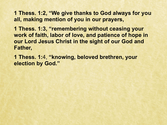**1 Thess. 1:2, "We give thanks to God always for you all, making mention of you in our prayers,** 

**1 Thess. 1:3, "remembering without ceasing your work of faith, labor of love, and patience of hope in our Lord Jesus Christ in the sight of our God and Father,** 

**1 Thess. 1:**4, **"knowing, beloved brethren, your election by God."**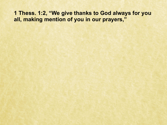# 1 Thess. 1:2, "We give thanks to God always for you all, making mention of you in our prayers,"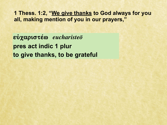1 Thess. 1:2, "We give thanks to God always for you all, making mention of you in our prayers,"

 $\mathbf{eV}\mathbf{X}\mathbf{C}$ pres act indic 1 plur to give thanks, to be grateful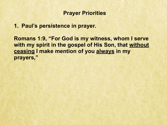**1. Paul's persistence in prayer.** 

**Romans 1:9, "For God is my witness, whom I serve with my spirit in the gospel of His Son, that without ceasing I make mention of you always in my prayers,"**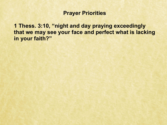**1 Thess. 3:10, "night and day praying exceedingly that we may see your face and perfect what is lacking in your faith?"**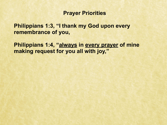**Philippians 1:3, "I thank my God upon every remembrance of you,** 

**Philippians 1:4, "always in every prayer of mine making request for you all with joy,"**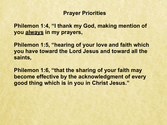**Philemon 1:4, "I thank my God, making mention of you always in my prayers,** 

**Philemon 1:5, "hearing of your love and faith which you have toward the Lord Jesus and toward all the saints,** 

**Philemon 1:6, "that the sharing of your faith may become effective by the acknowledgment of every good thing which is in you in Christ Jesus."**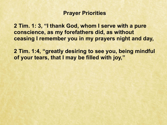**2 Tim. 1: 3, "I thank God, whom I serve with a pure conscience, as my forefathers did, as without ceasing I remember you in my prayers night and day,** 

**2 Tim. 1:4, "greatly desiring to see you, being mindful of your tears, that I may be filled with joy,"**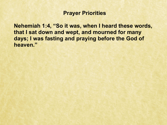**Nehemiah 1:4, "So it was, when I heard these words, that I sat down and wept, and mourned for many days; I was fasting and praying before the God of heaven."**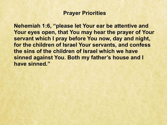**Nehemiah 1:6, "please let Your ear be attentive and Your eyes open, that You may hear the prayer of Your servant which I pray before You now, day and night, for the children of Israel Your servants, and confess the sins of the children of Israel which we have sinned against You. Both my father's house and I have sinned."**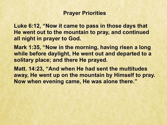**Luke 6:12, "Now it came to pass in those days that He went out to the mountain to pray, and continued all night in prayer to God.** 

**Mark 1:35, "Now in the morning, having risen a long while before daylight, He went out and departed to a solitary place; and there He prayed.** 

**Matt. 14:23, "And when He had sent the multitudes away, He went up on the mountain by Himself to pray. Now when evening came, He was alone there."**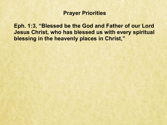**Eph. 1:3, "Blessed be the God and Father of our Lord Jesus Christ, who has blessed us with every spiritual blessing in the heavenly places in Christ,"**